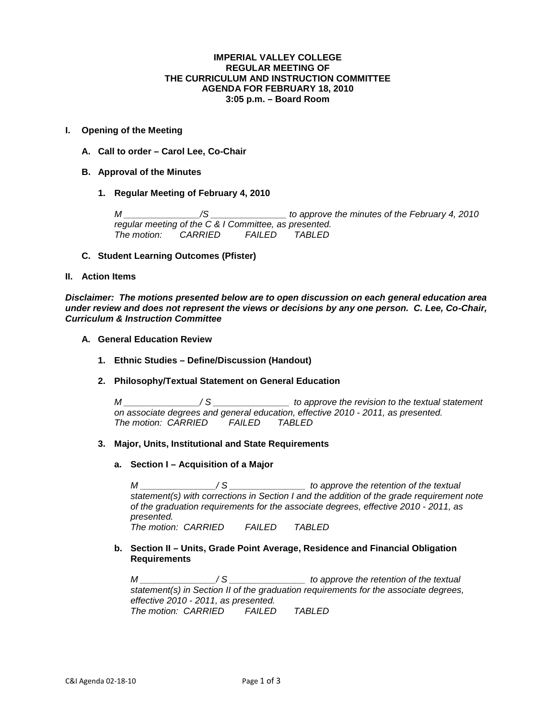### **IMPERIAL VALLEY COLLEGE REGULAR MEETING OF THE CURRICULUM AND INSTRUCTION COMMITTEE AGENDA FOR FEBRUARY 18, 2010 3:05 p.m. – Board Room**

## **I. Opening of the Meeting**

- **A. Call to order – Carol Lee, Co-Chair**
- **B. Approval of the Minutes**
	- **1. Regular Meeting of February 4, 2010**

*M \_\_\_\_\_\_\_\_\_\_\_\_\_\_\_/S \_\_\_\_\_\_\_\_\_\_\_\_\_\_\_ to approve the minutes of the February 4, 2010 regular meeting of the C & I Committee, as presented. The motion: CARRIED FAILED TABLED*

**C. Student Learning Outcomes (Pfister)**

## **II. Action Items**

*Disclaimer: The motions presented below are to open discussion on each general education area under review and does not represent the views or decisions by any one person. C. Lee, Co-Chair, Curriculum & Instruction Committee*

- **A. General Education Review**
	- **1. Ethnic Studies – Define/Discussion (Handout)**
	- **2. Philosophy/Textual Statement on General Education**

*M \_\_\_\_\_\_\_\_\_\_\_\_\_\_\_/ S \_\_\_\_\_\_\_\_\_\_\_\_\_\_\_ to approve the revision to the textual statement on associate degrees and general education, effective 2010 - 2011, as presented. The motion: CARRIED FAILED TABLED*

# **3. Major, Units, Institutional and State Requirements**

**a. Section I – Acquisition of a Major**

*M \_\_\_\_\_\_\_\_\_\_\_\_\_\_\_/ S \_\_\_\_\_\_\_\_\_\_\_\_\_\_\_ to approve the retention of the textual statement(s) with corrections in Section I and the addition of the grade requirement note of the graduation requirements for the associate degrees, effective 2010 - 2011, as presented. The motion: CARRIED FAILED TABLED*

**b. Section II – Units, Grade Point Average, Residence and Financial Obligation Requirements**

*M \_\_\_\_\_\_\_\_\_\_\_\_\_\_\_/ S \_\_\_\_\_\_\_\_\_\_\_\_\_\_\_ to approve the retention of the textual statement(s) in Section II of the graduation requirements for the associate degrees, effective 2010 - 2011, as presented. The motion: CARRIED FAILED TABLED*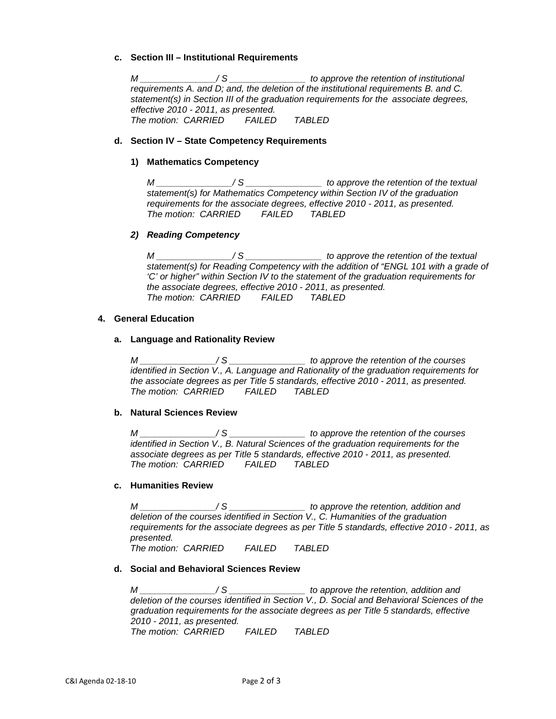## **c. Section III – Institutional Requirements**

*M \_\_\_\_\_\_\_\_\_\_\_\_\_\_\_/ S \_\_\_\_\_\_\_\_\_\_\_\_\_\_\_ to approve the retention of institutional requirements A. and D; and, the deletion of the institutional requirements B. and C. statement(s) in Section III of the graduation requirements for the associate degrees, effective 2010 - 2011, as presented. The motion: CARRIED FAILED TABLED*

### **d. Section IV – State Competency Requirements**

### **1) Mathematics Competency**

*M \_\_\_\_\_\_\_\_\_\_\_\_\_\_\_/ S \_\_\_\_\_\_\_\_\_\_\_\_\_\_\_ to approve the retention of the textual statement(s) for Mathematics Competency within Section IV of the graduation requirements for the associate degrees, effective 2010 - 2011, as presented. The motion: CARRIED FAILED TABLED*

#### *2) Reading Competency*

*M \_\_\_\_\_\_\_\_\_\_\_\_\_\_\_/ S \_\_\_\_\_\_\_\_\_\_\_\_\_\_\_ to approve the retention of the textual statement(s) for Reading Competency with the addition of "ENGL 101 with a grade of 'C' or higher" within Section IV to the statement of the graduation requirements for the associate degrees, effective 2010 - 2011, as presented. The motion: CARRIED FAILED TABLED*

## **4. General Education**

#### **a. Language and Rationality Review**

*M \_\_\_\_\_\_\_\_\_\_\_\_\_\_\_/ S \_\_\_\_\_\_\_\_\_\_\_\_\_\_\_ to approve the retention of the courses identified in Section V., A. Language and Rationality of the graduation requirements for the associate degrees as per Title 5 standards, effective 2010 - 2011, as presented. The motion: CARRIED FAILED TABLED*

#### **b. Natural Sciences Review**

*M \_\_\_\_\_\_\_\_\_\_\_\_\_\_\_/ S \_\_\_\_\_\_\_\_\_\_\_\_\_\_\_ to approve the retention of the courses identified in Section V., B. Natural Sciences of the graduation requirements for the associate degrees as per Title 5 standards, effective 2010 - 2011, as presented. The motion: CARRIED FAILED TABLED*

# **c. Humanities Review**

*M \_\_\_\_\_\_\_\_\_\_\_\_\_\_\_/ S \_\_\_\_\_\_\_\_\_\_\_\_\_\_\_ to approve the retention, addition and deletion of the courses identified in Section V., C. Humanities of the graduation requirements for the associate degrees as per Title 5 standards, effective 2010 - 2011, as presented.*

*The motion: CARRIED FAILED TABLED*

#### **d. Social and Behavioral Sciences Review**

*M \_\_\_\_\_\_\_\_\_\_\_\_\_\_\_/ S \_\_\_\_\_\_\_\_\_\_\_\_\_\_\_ to approve the retention, addition and deletion of the courses identified in Section V., D. Social and Behavioral Sciences of the graduation requirements for the associate degrees as per Title 5 standards, effective 2010 - 2011, as presented. The motion: CARRIED FAILED TABLED*